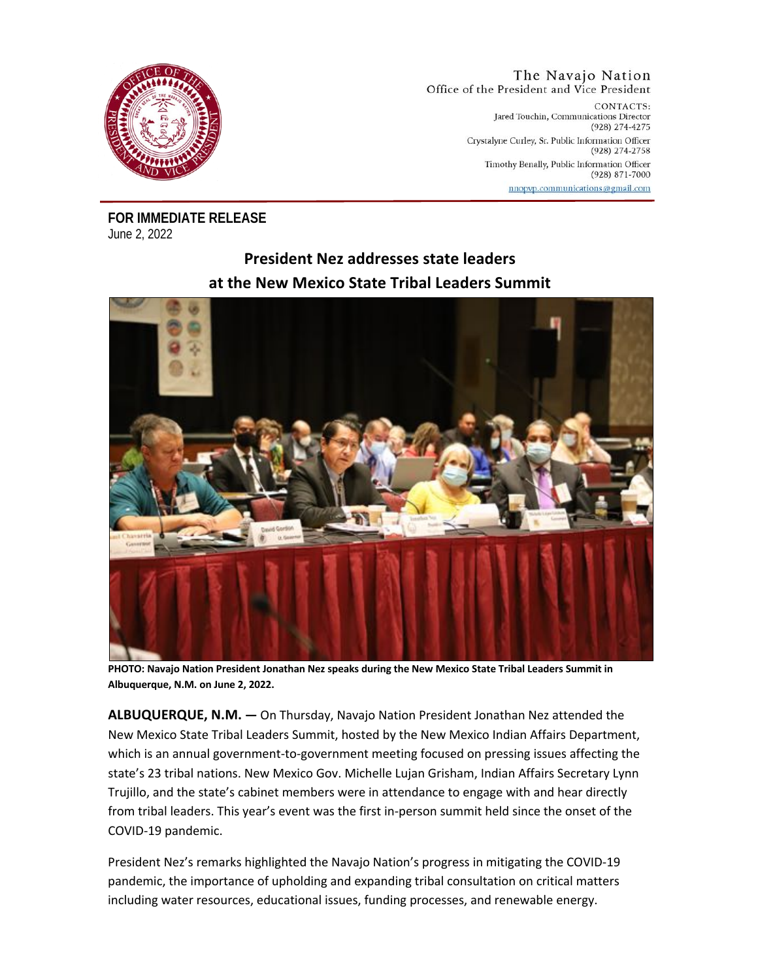

## The Navajo Nation Office of the President and Vice President

CONTACTS: Jared Touchin, Communications Director (928) 274-4275 Crystalyne Curley, Sr. Public Information Officer (928) 274-2758 Timothy Benally, Public Information Officer (928) 871-7000 nnopyp.communications@gmail.com

**FOR IMMEDIATE RELEASE** June 2, 2022

## **President Nez addresses state leaders at the New Mexico State Tribal Leaders Summit**



**PHOTO: Navajo Nation President Jonathan Nez speaks during the New Mexico State Tribal Leaders Summit in Albuquerque, N.M. on June 2, 2022.**

**ALBUQUERQUE, N.M. —** On Thursday, Navajo Nation President Jonathan Nez attended the New Mexico State Tribal Leaders Summit, hosted by the New Mexico Indian Affairs Department, which is an annual government-to-government meeting focused on pressing issues affecting the state's 23 tribal nations. New Mexico Gov. Michelle Lujan Grisham, Indian Affairs Secretary Lynn Trujillo, and the state's cabinet members were in attendance to engage with and hear directly from tribal leaders. This year's event was the first in-person summit held since the onset of the COVID-19 pandemic.

President Nez's remarks highlighted the Navajo Nation's progress in mitigating the COVID-19 pandemic, the importance of upholding and expanding tribal consultation on critical matters including water resources, educational issues, funding processes, and renewable energy.